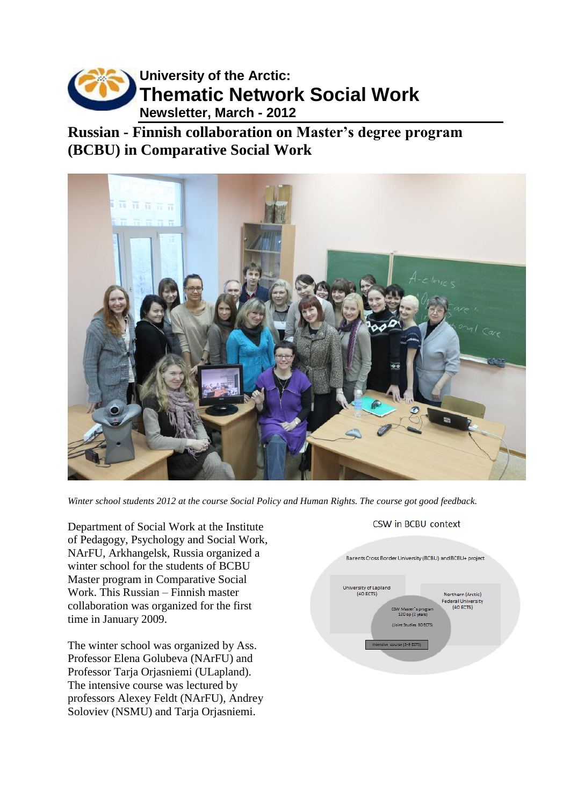

**Russian - Finnish collaboration on Master's degree program (BCBU) in Comparative Social Work**



*Winter school students 2012 at the course Social Policy and Human Rights. The course got good feedback.*

Department of Social Work at the Institute of Pedagogy, Psychology and Social Work, NArFU, Arkhangelsk, Russia organized a winter school for the students of BCBU Master program in Comparative Social Work. This Russian – Finnish master collaboration was organized for the first time in January 2009.

The winter school was organized by Ass. Professor Elena Golubeva (NArFU) and Professor Tarja Orjasniemi (ULapland). The intensive course was lectured by professors Alexey Feldt (NArFU), Andrey Soloviev (NSMU) and Tarja Orjasniemi.

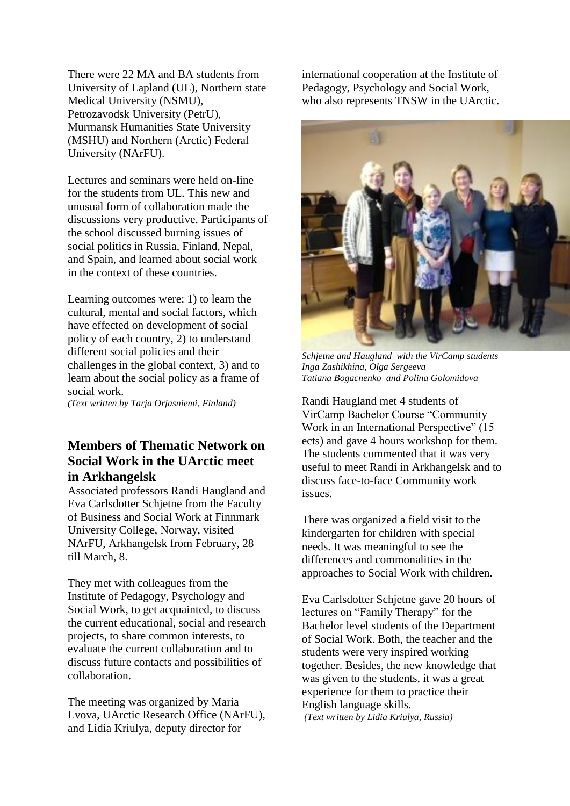There were 22 MA and BA students from University of Lapland (UL), Northern state Medical University (NSMU), Petrozavodsk University (PetrU), Murmansk Humanities State University (MSHU) and Northern (Arctic) Federal University (NArFU).

Lectures and seminars were held on-line for the students from UL. This new and unusual form of collaboration made the discussions very productive. Participants of the school discussed burning issues of social politics in Russia, Finland, Nepal, and Spain, and learned about social work in the context of these countries.

Learning outcomes were: 1) to learn the cultural, mental and social factors, which have effected on development of social policy of each country, 2) to understand different social policies and their challenges in the global context, 3) and to learn about the social policy as a frame of social work.

*(Text written by Tarja Orjasniemi, Finland)*

#### **Members of Thematic Network on Social Work in the UArctic meet in Arkhangelsk**

Associated professors Randi Haugland and Eva Carlsdotter Schjetne from the Faculty of Business and Social Work at Finnmark University College, Norway, visited NArFU, Arkhangelsk from February, 28 till March, 8.

They met with colleagues from the Institute of Pedagogy, Psychology and Social Work, to get acquainted, to discuss the current educational, social and research projects, to share common interests, to evaluate the current collaboration and to discuss future contacts and possibilities of collaboration.

The meeting was organized by Maria Lvova, UArctic Research Office (NArFU), and Lidia Kriulya, deputy director for

international cooperation at the Institute of Pedagogy, Psychology and Social Work, who also represents TNSW in the UArctic.



*Schjetne and Haugland with the VirCamp students Inga Zashikhina, Olga Sergeeva Tatiana Bogacnenko and Polina Golomidova*

Randi Haugland met 4 students of VirCamp Bachelor Course "Community Work in an International Perspective" (15 ects) and gave 4 hours workshop for them. The students commented that it was very useful to meet Randi in Arkhangelsk and to discuss face-to-face Community work issues.

There was organized a field visit to the kindergarten for children with special needs. It was meaningful to see the differences and commonalities in the approaches to Social Work with children.

Eva Carlsdotter Schjetne gave 20 hours of lectures on "Family Therapy" for the Bachelor level students of the Department of Social Work. Both, the teacher and the students were very inspired working together. Besides, the new knowledge that was given to the students, it was a great experience for them to practice their English language skills.

*(Text written by Lidia Kriulya, Russia)*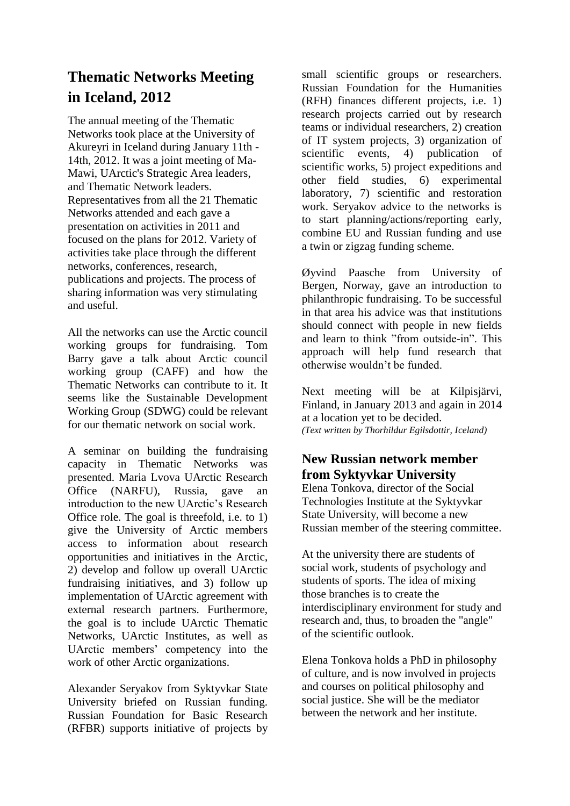# **Thematic Networks Meeting in Iceland, 2012**

The annual meeting of the Thematic Networks took place at the University of Akureyri in Iceland during January 11th - 14th, 2012. It was a joint meeting of Ma-Mawi, UArctic's Strategic Area leaders, and Thematic Network leaders. Representatives from all the 21 Thematic Networks attended and each gave a presentation on activities in 2011 and focused on the plans for 2012. Variety of activities take place through the different networks, conferences, research, publications and projects. The process of sharing information was very stimulating and useful.

All the networks can use the Arctic council working groups for fundraising. Tom Barry gave a talk about Arctic council working group (CAFF) and how the Thematic Networks can contribute to it. It seems like the Sustainable Development Working Group (SDWG) could be relevant for our thematic network on social work.

A seminar on building the fundraising capacity in Thematic Networks was presented. Maria Lvova UArctic Research Office (NARFU), Russia, gave an introduction to the new UArctic's Research Office role. The goal is threefold, i.e. to 1) give the University of Arctic members access to information about research opportunities and initiatives in the Arctic, 2) develop and follow up overall UArctic fundraising initiatives, and 3) follow up implementation of UArctic agreement with external research partners. Furthermore, the goal is to include UArctic Thematic Networks, UArctic Institutes, as well as UArctic members' competency into the work of other Arctic organizations.

Alexander Seryakov from Syktyvkar State University briefed on Russian funding. Russian Foundation for Basic Research (RFBR) supports initiative of projects by small scientific groups or researchers. Russian Foundation for the Humanities (RFH) finances different projects, i.e. 1) research projects carried out by research teams or individual researchers, 2) creation of IT system projects, 3) organization of scientific events, 4) publication of scientific works, 5) project expeditions and other field studies, 6) experimental laboratory, 7) scientific and restoration work. Seryakov advice to the networks is to start planning/actions/reporting early, combine EU and Russian funding and use a twin or zigzag funding scheme.

Øyvind Paasche from University of Bergen, Norway, gave an introduction to philanthropic fundraising. To be successful in that area his advice was that institutions should connect with people in new fields and learn to think "from outside-in". This approach will help fund research that otherwise wouldn't be funded.

Next meeting will be at Kilpisjärvi, Finland, in January 2013 and again in 2014 at a location yet to be decided. *(Text written by Thorhildur Egilsdottir, Iceland)*

#### **New Russian network member from Syktyvkar University**

Elena Tonkova, director of the Social Technologies Institute at the Syktyvkar State University, will become a new Russian member of the steering committee.

At the university there are students of social work, students of psychology and students of sports. The idea of mixing those branches is to create the interdisciplinary environment for study and research and, thus, to broaden the "angle" of the scientific outlook.

Elena Tonkova holds a PhD in philosophy of culture, and is now involved in projects and courses on political philosophy and social justice. She will be the mediator between the network and her institute.